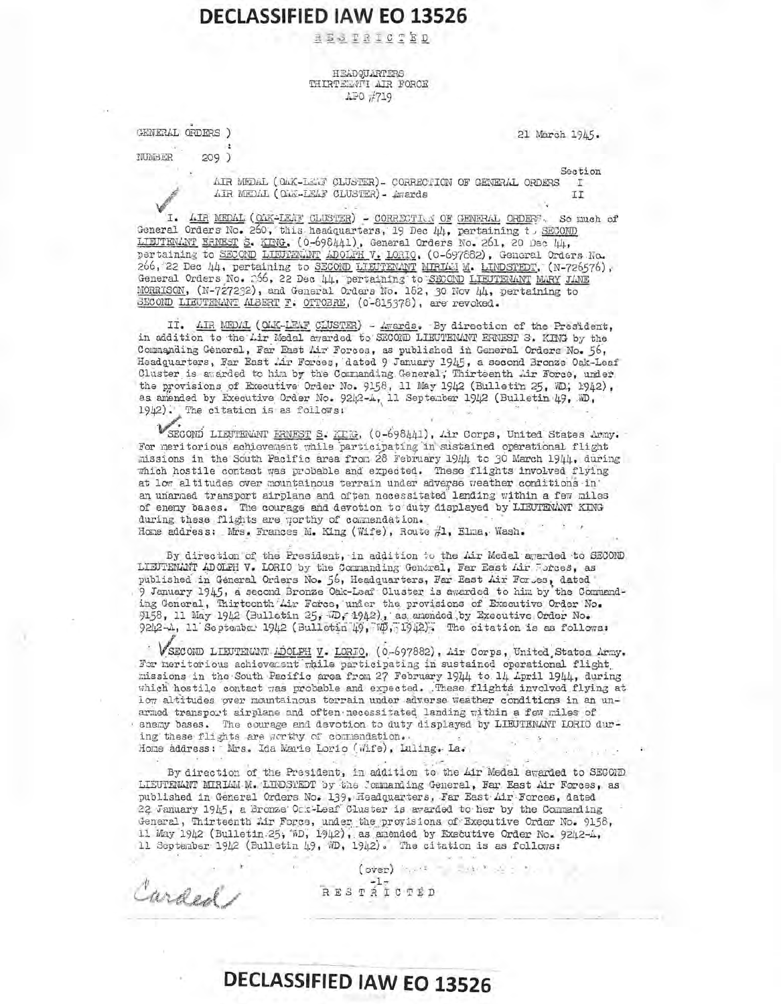## HEADQUARTERS THIRTEEVTI AIR FORCE APO #719

GENERAL ORDERS )

Curded

 $209)$ 

21 March 1945.

NUMBER

Section AIR MEDAL (OAK-LEWE CLUSTER)- CORRECTION OF GENERAL ORDERS  $T$ AIR MEDAL (OAR-LEAF CLUSTER) - Awards II

I. AIR MEDAL (OAK-LEAF CLUSTER) - CORRECTIVA OF GENERAL ORDERS. So much of General Orders No. 260, this headquarters, 19 Dec 44, pertaining t. SECOMD LIEUTENANT ERNEST S. KING, (0-698441), General Orders No. 261, 20 Dec 44, pertaining to SECOND LIBURGANT ADOLFH V. LORIO, (0-697882), General Orders No. 266, 22 Dec 44, pertaining to SECOND LIEUTEVANT MIRIAN M. LINDSTEDT, (N-726576), General Orders No. 266, 22 Dec 44, pertaining to SECOND LIEUTENANT MARY JANE MORRISON, (N-727232), and General Orders No. 162, 30 Nov 44, pertaining to SECOND LIEUTEMANT ALBERT F. OTTOBRE, (0-815378), are revoked.

II. AIR MEDAL (OAK-LEAF CLUSTER) - Awards. By direction of the President, in addition to the Lir Medal awarded to SECORD LIEUTENANT ERNEST S. KING by the Commanding General, Far East Air Forces, as published in General Orders No. 56, Headquarters, Far East Air Forces, dated 9 January 1945, a second Bronze Oak-Leaf Cluster is awarded to him by the Commanding General; Thirteenth Air Force, under the provisions of Executive Order No. 9158, 11 May 1942 (Bulletin 25, WD, 1942), as amended by Executive Order No. 9242-A, 11 September 1942 (Bulletin 49, ND, 1942). The citation is as follows:

SECOND LIEUTENANT ERNEST S. KIK, (0-698441), Air Corps, United States Army. For meritorious achievement while participating in sustained operational flight missions in the South Pacific area from 28 February 1944 to 30 March 1944, during which hostile contact was probable and expected. These flights involved flying at low altitudes over mountainous terrain under adverse weather conditions in' an unarned transport airplane and often necessitated landing within a few miles of enery bases. The courage and devotion to duty displayed by LLEUTENANT KING during these flights are porthy of commendation. Home address: Mrs. Frances M. King (Wife), Route #1, Elma, Wash.

By direction of the President, in addition to the Air Medal awarded to SECOND LIEUTENANT ADOLPH V. LORIO by the Commanding General, Far East Air Forces, as published in General Orders No. 56, Headquarters, Far East Air For es, dated 9 January 1945, a second Bronze Oak-Leaf Cluster is awarded to him by the Commanding General, Thirteonth Lir Force, under the provisions of Executive Order No. 9158, 11 May 1942 (Bulletin 25, D, 1942), as anended by Executive Order No. 9242-A, 11 September 1942 (Bulletin 49, WD, 1942). The citation is as follows:

VSECOND LIEUTENANT ADOLPH V. LORIO, (0-697882), Air Corps, United States Army. For meritorious achieversnt while participating in sustained operational flight missions in the South Pacific area from 27 February 1944 to 14 April 1944, during which hostile contact was probable and expected. These flights involved flying at low altitudes over mountainous terrain under adverse weather conditions in an unarmed transport airplane and often necessitated landing within a few miles of · enemy bases. The courage and devotion to duty displayed by LIEUTENANT LORIO during these flights are gorthy of commendation. Home address: Mrs. Ida Marie Lorio (Wife), Luling. La.

By direction of the President, in addition to the Air Medal awarded to SECOMD LIEUTENANT MIRLAM M. LIEUSTEDT by the Commanding General, Far East Air Forces, as published in General Orders No. 139, Headquarters, Far East Air Forces, dated 22 January 1945, a Bronze Ock-Leaf Cluster is awarded to her by the Commanding General, Thirteenth Air Force, under the provisions of Executive Order No. 9158, 11 May 1942 (Bulletin 25, WD, 1942), as amended by Executive Order No. 9242-4, 11 September 1942 (Bulletin 49, WD, 1942). The citation is as follows:

> (over) and additional RESTATOTED